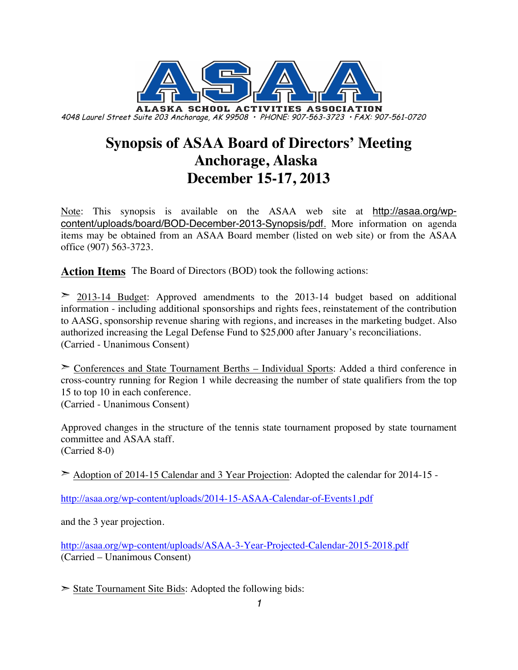

# **Synopsis of ASAA Board of Directors' Meeting Anchorage, Alaska December 15-17, 2013**

Note: This synopsis is available on the ASAA web site at http://asaa.org/wpcontent/uploads/board/BOD-December-2013-Synopsis/pdf. More information on agenda items may be obtained from an ASAA Board member (listed on web site) or from the ASAA office (907) 563-3723.

**Action Items** The Board of Directors (BOD) took the following actions:

 $\geq$  2013-14 Budget: Approved amendments to the 2013-14 budget based on additional information - including additional sponsorships and rights fees, reinstatement of the contribution to AASG, sponsorship revenue sharing with regions, and increases in the marketing budget. Also authorized increasing the Legal Defense Fund to \$25,000 after January's reconciliations. (Carried - Unanimous Consent)

➣ Conferences and State Tournament Berths – Individual Sports: Added a third conference in cross-country running for Region 1 while decreasing the number of state qualifiers from the top 15 to top 10 in each conference.

(Carried - Unanimous Consent)

Approved changes in the structure of the tennis state tournament proposed by state tournament committee and ASAA staff. (Carried 8-0)

➣ Adoption of 2014-15 Calendar and 3 Year Projection: Adopted the calendar for 2014-15 -

http://asaa.org/wp-content/uploads/2014-15-ASAA-Calendar-of-Events1.pdf

and the 3 year projection.

http://asaa.org/wp-content/uploads/ASAA-3-Year-Projected-Calendar-2015-2018.pdf (Carried – Unanimous Consent)

 $\geq$  State Tournament Site Bids: Adopted the following bids: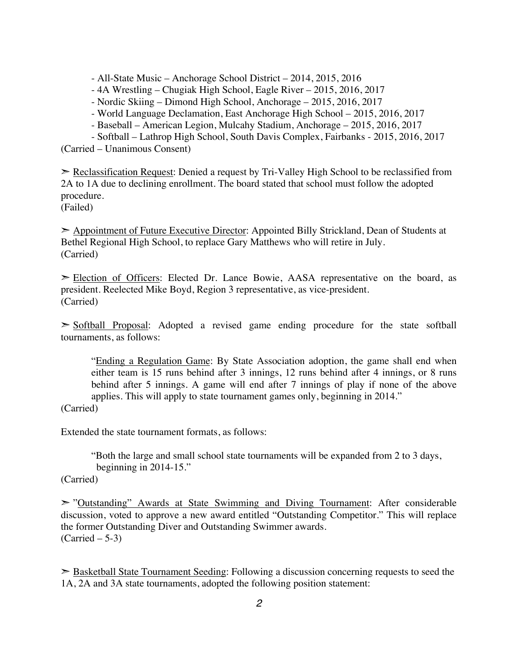- All-State Music – Anchorage School District – 2014, 2015, 2016

- 4A Wrestling Chugiak High School, Eagle River 2015, 2016, 2017
- Nordic Skiing Dimond High School, Anchorage 2015, 2016, 2017
- World Language Declamation, East Anchorage High School 2015, 2016, 2017
- Baseball American Legion, Mulcahy Stadium, Anchorage 2015, 2016, 2017
- Softball Lathrop High School, South Davis Complex, Fairbanks 2015, 2016, 2017

(Carried – Unanimous Consent)

➣ Reclassification Request: Denied a request by Tri-Valley High School to be reclassified from 2A to 1A due to declining enrollment. The board stated that school must follow the adopted procedure.

(Failed)

➣ Appointment of Future Executive Director: Appointed Billy Strickland, Dean of Students at Bethel Regional High School, to replace Gary Matthews who will retire in July. (Carried)

➣ Election of Officers: Elected Dr. Lance Bowie, AASA representative on the board, as president. Reelected Mike Boyd, Region 3 representative, as vice-president. (Carried)

➣ Softball Proposal: Adopted a revised game ending procedure for the state softball tournaments, as follows:

"Ending a Regulation Game: By State Association adoption, the game shall end when either team is 15 runs behind after 3 innings, 12 runs behind after 4 innings, or 8 runs behind after 5 innings. A game will end after 7 innings of play if none of the above applies. This will apply to state tournament games only, beginning in 2014."

(Carried)

Extended the state tournament formats, as follows:

"Both the large and small school state tournaments will be expanded from 2 to 3 days, beginning in 2014-15."

(Carried)

➣ "Outstanding" Awards at State Swimming and Diving Tournament: After considerable discussion, voted to approve a new award entitled "Outstanding Competitor." This will replace the former Outstanding Diver and Outstanding Swimmer awards.  $(Carried – 5-3)$ 

 $\geq$  Basketball State Tournament Seeding: Following a discussion concerning requests to seed the 1A, 2A and 3A state tournaments, adopted the following position statement: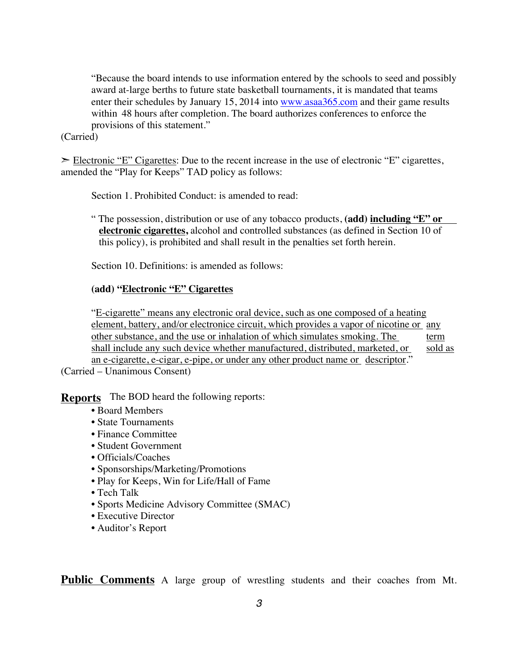"Because the board intends to use information entered by the schools to seed and possibly award at-large berths to future state basketball tournaments, it is mandated that teams enter their schedules by January 15, 2014 into www.asaa365.com and their game results within 48 hours after completion. The board authorizes conferences to enforce the provisions of this statement."

#### (Carried)

 $\geq$  Electronic "E" Cigarettes: Due to the recent increase in the use of electronic "E" cigarettes, amended the "Play for Keeps" TAD policy as follows:

Section 1. Prohibited Conduct: is amended to read:

" The possession, distribution or use of any tobacco products, **(add) including "E" or electronic cigarettes,** alcohol and controlled substances (as defined in Section 10 of this policy), is prohibited and shall result in the penalties set forth herein.

Section 10. Definitions: is amended as follows:

#### **(add) "Electronic "E" Cigarettes**

"E-cigarette" means any electronic oral device, such as one composed of a heating element, battery, and/or electronice circuit, which provides a vapor of nicotine or any other substance, and the use or inhalation of which simulates smoking. The term shall include any such device whether manufactured, distributed, marketed, or sold as an e-cigarette, e-cigar, e-pipe, or under any other product name or descriptor."

(Carried – Unanimous Consent)

**Reports** The BOD heard the following reports:

- Board Members
- State Tournaments
- Finance Committee
- Student Government
- Officials/Coaches
- Sponsorships/Marketing/Promotions
- Play for Keeps, Win for Life/Hall of Fame
- Tech Talk
- Sports Medicine Advisory Committee (SMAC)
- Executive Director
- Auditor's Report

**Public Comments** A large group of wrestling students and their coaches from Mt.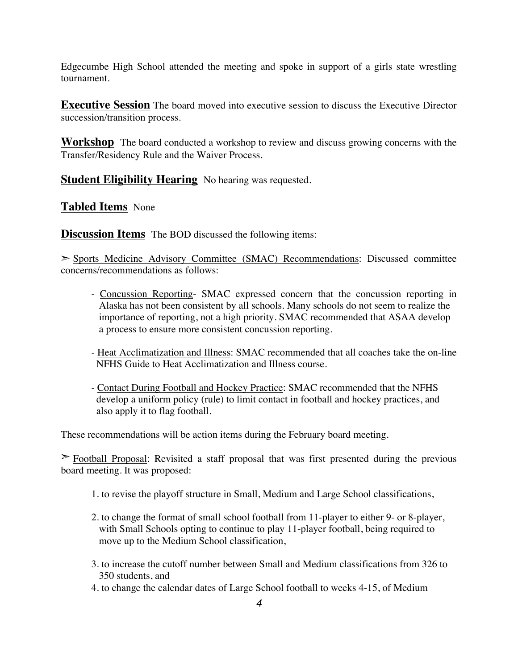Edgecumbe High School attended the meeting and spoke in support of a girls state wrestling tournament.

**Executive Session** The board moved into executive session to discuss the Executive Director succession/transition process.

**Workshop** The board conducted a workshop to review and discuss growing concerns with the Transfer/Residency Rule and the Waiver Process.

**Student Eligibility Hearing** No hearing was requested.

## **Tabled Items** None

**Discussion Items** The BOD discussed the following items:

➣ Sports Medicine Advisory Committee (SMAC) Recommendations: Discussed committee concerns/recommendations as follows:

- Concussion Reporting- SMAC expressed concern that the concussion reporting in Alaska has not been consistent by all schools. Many schools do not seem to realize the importance of reporting, not a high priority. SMAC recommended that ASAA develop a process to ensure more consistent concussion reporting.
- Heat Acclimatization and Illness: SMAC recommended that all coaches take the on-line NFHS Guide to Heat Acclimatization and Illness course.
- Contact During Football and Hockey Practice: SMAC recommended that the NFHS develop a uniform policy (rule) to limit contact in football and hockey practices, and also apply it to flag football.

These recommendations will be action items during the February board meeting.

 $\geq$  Football Proposal: Revisited a staff proposal that was first presented during the previous board meeting. It was proposed:

- 1. to revise the playoff structure in Small, Medium and Large School classifications,
- 2. to change the format of small school football from 11-player to either 9- or 8-player, with Small Schools opting to continue to play 11-player football, being required to move up to the Medium School classification,
- 3. to increase the cutoff number between Small and Medium classifications from 326 to 350 students, and
- 4. to change the calendar dates of Large School football to weeks 4-15, of Medium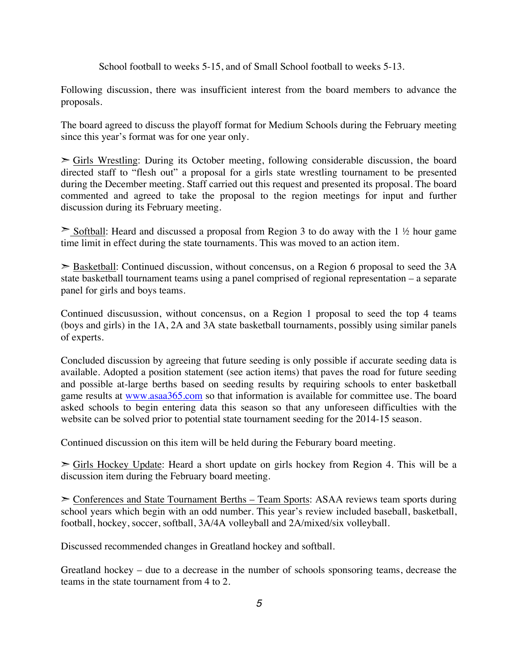School football to weeks 5-15, and of Small School football to weeks 5-13.

Following discussion, there was insufficient interest from the board members to advance the proposals.

The board agreed to discuss the playoff format for Medium Schools during the February meeting since this year's format was for one year only.

 $\geq$  Girls Wrestling: During its October meeting, following considerable discussion, the board directed staff to "flesh out" a proposal for a girls state wrestling tournament to be presented during the December meeting. Staff carried out this request and presented its proposal. The board commented and agreed to take the proposal to the region meetings for input and further discussion during its February meeting.

 $\geq$  Softball: Heard and discussed a proposal from Region 3 to do away with the 1  $\frac{1}{2}$  hour game time limit in effect during the state tournaments. This was moved to an action item.

 $\geq$  Basketball: Continued discussion, without concensus, on a Region 6 proposal to seed the 3A state basketball tournament teams using a panel comprised of regional representation – a separate panel for girls and boys teams.

Continued discusussion, without concensus, on a Region 1 proposal to seed the top 4 teams (boys and girls) in the 1A, 2A and 3A state basketball tournaments, possibly using similar panels of experts.

Concluded discussion by agreeing that future seeding is only possible if accurate seeding data is available. Adopted a position statement (see action items) that paves the road for future seeding and possible at-large berths based on seeding results by requiring schools to enter basketball game results at www.asaa365.com so that information is available for committee use. The board asked schools to begin entering data this season so that any unforeseen difficulties with the website can be solved prior to potential state tournament seeding for the 2014-15 season.

Continued discussion on this item will be held during the Feburary board meeting.

 $\geq$  Girls Hockey Update: Heard a short update on girls hockey from Region 4. This will be a discussion item during the February board meeting.

➣ Conferences and State Tournament Berths – Team Sports: ASAA reviews team sports during school years which begin with an odd number. This year's review included baseball, basketball, football, hockey, soccer, softball, 3A/4A volleyball and 2A/mixed/six volleyball.

Discussed recommended changes in Greatland hockey and softball.

Greatland hockey – due to a decrease in the number of schools sponsoring teams, decrease the teams in the state tournament from 4 to 2.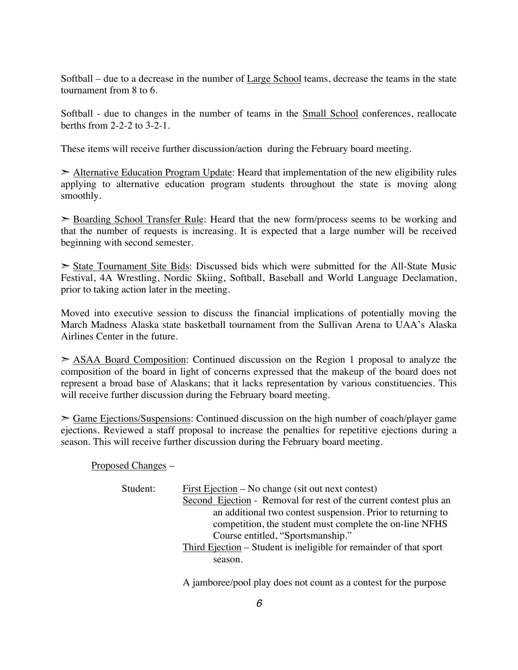Softball – due to a decrease in the number of Large School teams, decrease the teams in the state tournament from 8 to 6.

Softball - due to changes in the number of teams in the Small School conferences, reallocate berths from 2-2-2 to 3-2-1.

These items will receive further discussion/action during the February board meeting.

 $\geq$  Alternative Education Program Update: Heard that implementation of the new eligibility rules applying to alternative education program students throughout the state is moving along smoothly.

➣ Boarding School Transfer Rule: Heard that the new form/process seems to be working and that the number of requests is increasing. It is expected that a large number will be received beginning with second semester.

➣ State Tournament Site Bids: Discussed bids which were submitted for the All-State Music Festival, 4A Wrestling, Nordic Skiing, Softball, Baseball and World Language Declamation, prior to taking action later in the meeting.

Moved into executive session to discuss the financial implications of potentially moving the March Madness Alaska state basketball tournament from the Sullivan Arena to UAA's Alaska Airlines Center in the future.

 $\geq$  ASAA Board Composition: Continued discussion on the Region 1 proposal to analyze the composition of the board in light of concerns expressed that the makeup of the board does not represent a broad base of Alaskans; that it lacks representation by various constituencies. This will receive further discussion during the February board meeting.

➣ Game Ejections/Suspensions: Continued discussion on the high number of coach/player game ejections. Reviewed a staff proposal to increase the penalties for repetitive ejections during a season. This will receive further discussion during the February board meeting.

Proposed Changes –

| Student: | First Ejection – No change (sit out next contest)                  |
|----------|--------------------------------------------------------------------|
|          | Second Ejection - Removal for rest of the current contest plus an  |
|          | an additional two contest suspension. Prior to returning to        |
|          | competition, the student must complete the on-line NFHS            |
|          | Course entitled, "Sportsmanship."                                  |
|          | Third Ejection – Student is ineligible for remainder of that sport |
|          | season.                                                            |

A jamboree/pool play does not count as a contest for the purpose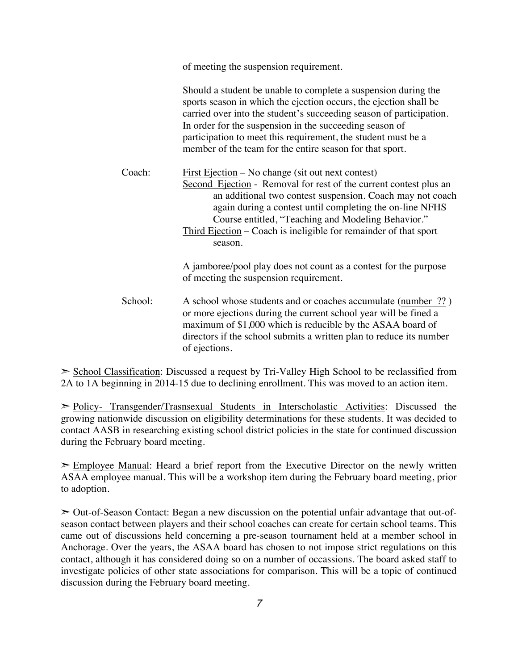of meeting the suspension requirement.

Should a student be unable to complete a suspension during the sports season in which the ejection occurs, the ejection shall be carried over into the student's succeeding season of participation. In order for the suspension in the succeeding season of participation to meet this requirement, the student must be a member of the team for the entire season for that sport.

Coach: First Ejection – No change (sit out next contest) Second Ejection - Removal for rest of the current contest plus an an additional two contest suspension. Coach may not coach again during a contest until completing the on-line NFHS Course entitled, "Teaching and Modeling Behavior." Third Ejection – Coach is ineligible for remainder of that sport season.

A jamboree/pool play does not count as a contest for the purpose of meeting the suspension requirement.

School: A school whose students and or coaches accumulate (number ??) or more ejections during the current school year will be fined a maximum of \$1,000 which is reducible by the ASAA board of directors if the school submits a written plan to reduce its number of ejections.

➣ School Classification: Discussed a request by Tri-Valley High School to be reclassified from 2A to 1A beginning in 2014-15 due to declining enrollment. This was moved to an action item.

➣ Policy- Transgender/Trasnsexual Students in Interscholastic Activities: Discussed the growing nationwide discussion on eligibility determinations for these students. It was decided to contact AASB in researching existing school district policies in the state for continued discussion during the February board meeting.

 $\geq$  Employee Manual: Heard a brief report from the Executive Director on the newly written ASAA employee manual. This will be a workshop item during the February board meeting, prior to adoption.

➣ Out-of-Season Contact: Began a new discussion on the potential unfair advantage that out-ofseason contact between players and their school coaches can create for certain school teams. This came out of discussions held concerning a pre-season tournament held at a member school in Anchorage. Over the years, the ASAA board has chosen to not impose strict regulations on this contact, although it has considered doing so on a number of occassions. The board asked staff to investigate policies of other state associations for comparison. This will be a topic of continued discussion during the February board meeting.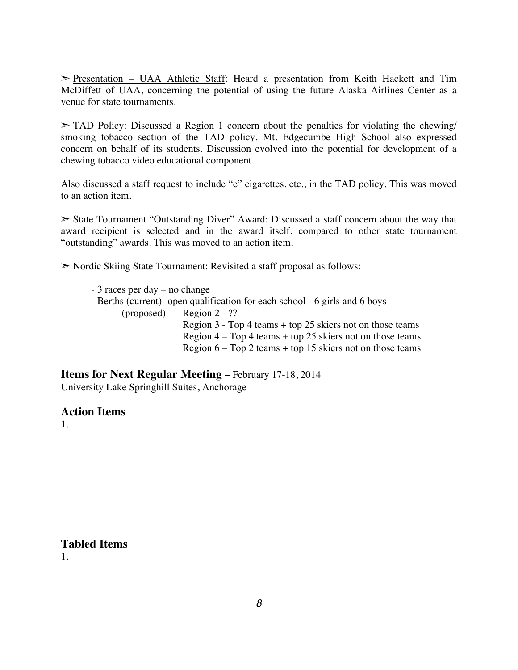➣ Presentation – UAA Athletic Staff: Heard a presentation from Keith Hackett and Tim McDiffett of UAA, concerning the potential of using the future Alaska Airlines Center as a venue for state tournaments.

 $\geq$  TAD Policy: Discussed a Region 1 concern about the penalties for violating the chewing/ smoking tobacco section of the TAD policy. Mt. Edgecumbe High School also expressed concern on behalf of its students. Discussion evolved into the potential for development of a chewing tobacco video educational component.

Also discussed a staff request to include "e" cigarettes, etc., in the TAD policy. This was moved to an action item.

➣ State Tournament "Outstanding Diver" Award: Discussed a staff concern about the way that award recipient is selected and in the award itself, compared to other state tournament "outstanding" awards. This was moved to an action item.

➣ Nordic Skiing State Tournament: Revisited a staff proposal as follows:

- 3 races per day no change
- Berths (current) -open qualification for each school 6 girls and 6 boys

 $(proposed)$  – Region 2 - ??

Region 3 - Top 4 teams + top 25 skiers not on those teams Region  $4 - Top\,4$  teams  $+ top\,25$  skiers not on those teams Region  $6 - Top\ 2$  teams  $+ top\ 15$  skiers not on those teams

**Items for Next Regular Meeting –** February 17-18, 2014 University Lake Springhill Suites, Anchorage

### **Action Items**

1.

# **Tabled Items**

1.